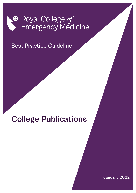

**Best Practice Guideline** 

# **College Publications**

January 2022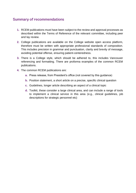# **Summary of recommendations**

- **1.** RCEM publications must have been subject to the review and approval processes as described within the Terms of Reference of the relevant committee, including peer and lay review.
- **2.** College publications are available on the College website open access platform, therefore must be written with appropriate professional standards of composition. This includes precision in grammar and punctuation, clarity and brevity of message, avoiding potential offense, ensuring patient-centeredness.
- **3.** There is a College style, which should be adhered to, this includes Vancouver referencing and formatting. There are proforma examples of the common RCEM publications.
- **4.** The common RCEM publications are:
	- **a.** Press release, from President's office (not covered by this guidance)
	- **b.** Position statement, a short article on a precise, specific clinical question
	- **c.** Guidelines, longer article describing an aspect of a clinical topic
	- **d.** Toolkit, these consider a large clinical area, and can include a range of tools to implement a clinical service in this area (e.g., clinical guidelines, job descriptions for strategic personnel etc)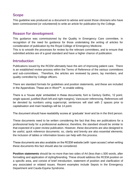# **Scope**

This guideline was produced as a document to advise and assist those clinicians who have been commissioned (or volunteered) to write an article for publication by the College.

# **Reason for development**

This guidance was commissioned by the Quality in Emergency Care committee, in recognition of the need for guidance for those undertaking the writing of articles for consideration of publication by the Royal College of Emergency Medicine.

This is to smooth the processes for review by the relevant committees, and to ensure that submitted articles are of a good standard and have a higher chance of publication.

### **Introduction**

Publications issued by the RCEM ultimately have the aim of improving patient care. There is an established review process within the Terms of Reference of the various committees and sub-committees. Therefore, the articles are reviewed by peers, lay members, and quality controlled by College officers.

There are standard formats for guidelines and position statements, and these are included in the Appendices. These are in Word™, to enable editing.

There is a 'house style' embedded in these documents; font is Century Gothic, 12 point, single spaced, justified (flush left and right margins), Vancouver referencing. References will be denoted by numbers using superscript, sentences will start with 2 spaces prior to capitalisation and main headings will be 14 point.

The document should have readability scores at 'graduate' level and be in the third person.

These documents need to be written considering the fact that they are publications for a professional body for a professional audience; therefore, the standard should be similar to that expected of a peer-review publication. However, these documents are also designed to be useful, quick reference documents; so, clarity and brevity are also essential elements; the inclusion of tables or information boxes can help with this process.

These documents are also available on the RCEM website (with 'open access') when writing these documents this fact should also be considered.

**Position statements** should be no more than two sides of A4 (less than c.500 words, after formatting and application of styling/branding. These should address the RCEM position on a specific area, and consist of brief introduction, statement of position and clarification of any associated or related issues. Recent examples include Sepsis in the Emergency Department and Cauda Equina Syndrome.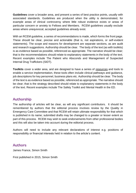**Guidelines** cover a broader area, and present a series of best practice points, usually with associated standards. Guidelines are produced when the utility is demonstrated, for example areas of clinical controversy where little robust evidence exists or areas of particular concern or anxiety to Fellows and Members. RCEM guidelines usually exclude areas where unequivocal, accepted guidelines already exist.

With an RCEM guideline, a series of recommendations is made, which forms the front page. These should be clear, precise and actionable (that is, not aspirations, or self-evident statements). The scope and reasons for development are separate sections, as are audit and research suggestions. Authorship should be clear. The body of the text (as with toolkits) is as evidence based as possible, referenced as appropriate. The narrative should be clear; that is the recommendations should relate to explanatory statements in the body of the text. Recent examples include The Patient who Absconds and Management of Suspected Internal Drug Traffickers (SIDT).

**Toolkits** cover a wider area, and are designed to have a series of resources and tools to enable a service implementation, these tools often include clinical pathways and guidance, job descriptions for key personnel, business plans etc. Authorship should be clear. The body of the text is as evidence based as possible, referenced as appropriate. The narrative should be clear; that is the strategy described should relate to explanatory statements in the body of the text. Recent examples include The Safety Toolkit and Mental Health in the ED.

# **Authorship**

The authorship of articles will be clear, as will any significant contributors. It should be remembered by authors that the editorial process involves review by the Quality in Emergency Care Committee and that RCEM will retain ultimate responsibility for that which is published in its name; submitted drafts may be changed to a greater or lesser extent as part of this process. RCEM may wish to seek endorsements from other professional bodies and this will also be taken into account during the editorial process.

Authors will need to include any relevant declarations of interest e.g. positions of responsibility or financial interests held in relation to the article's content.

# **Authors**

James France, Simon Smith

First published in 2015, Simon Smith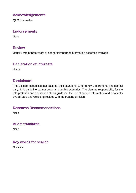# **Acknowledgements**

QEC Committee

### **Endorsements**

None

### **Review**

Usually within three years or sooner if important information becomes available.

## **Declaration of Interests**

None

# **Disclaimers**

The College recognises that patients, their situations, Emergency Departments and staff all vary. This guideline cannot cover all possible scenarios. The ultimate responsibility for the interpretation and application of this guideline, the use of current information and a patient's overall care and wellbeing resides with the treating clinician.

### **Research Recommendations**

None

# **Audit standards**

None

### Key words for search

Guideline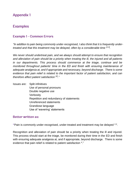# **Appendix 1**

# **Examples**

### **Example 1 - Common Errors**

*"In addition to pain being commonly under-recognised, I also think that it is frequently under*treated and that this treatment may be delayed, often by a considerable time <sup>[2,3]</sup>.

*We never should undertreat pain, and we always should attempt to ensure that recognition and alleviation of pain should be a priority when treating the ill, the injured and all patients in our departments. This process should commence at the triage, continue and be monitored throughout patients' time in the ED and finish with ensuring maintenance of adequate analgesia at, and if appropriate and necessary, beyond discharge. There is some evidence that pain relief is related to the important factor of patient satisfaction, and can therefore affect patient satisfaction [4]."*

Issues are: Split infinitives Use of personal pronouns Double negative use Verbosity Repetition and redundancy of statements Unreferenced statements Grandiose language Use of 'wavering' statements

### **Better written as:**

**"**Pain is commonly under-recognised, under-treated and treatment may be delayed 2,3 .

Recognition and alleviation of pain should be a priority when treating the ill and injured. This process should start at the triage, be monitored during their time in the ED and finish with ensuring adequate analgesia at, and if appropriate, beyond discharge. There is some evidence that pain relief is related to patient satisfaction 4."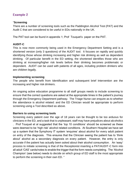### **Example 2**

#### "**Screening**

There are a number of screening tools such as the Paddington Alcohol Test (PAT) and the Audit C that are considered to be useful in EDs nationally in the UK.

The PAT tool can be found in appendix 1; Prof Touquet's paper on the PAT.

### **AUDIT-C**

This is now more commonly being used in the Emergency Department Setting and is a shortened version (only 3 questions) of the AUDIT tool. It focuses on rapidly and quickly identifying those whose drinking increasing and higher risk drinking as well as dependent drinking. Of particular benefit in the ED setting, the shortened identifies those who are drinking at increasing/higher risk levels before their drinking becomes problematic or dependent. AUDIT can be used with patients of all ages, including problem drinkers who are children legally.

#### **Implementing screening**

The people who benefit from Identification and subsequent brief Intervention are the increasing and higher risk drinkers.

An ongoing active education programme to all staff groups needs to include screening to ensure that the correct questions are asked at the appropriate times in the patient's journey through the Emergency Department pathway. The Triage Nurse can enquire as to whether the attendance is alcohol related: and the ED Clinician would be appropriate to perform screening using a Tool described as above.

### **Barriers to using screening tools**

Screening every patient over the age of 18 years can be thought to be too arduous for clinicians in the ED, and a task that is unpleasant; staff may have prejudices about alcoholics . Prof Touquet et al suggested that the 'top 10 conditions' should be screened as these were deemed to be 'high risk' alcohol related conditions. At Southern Hospital we have set up a system that the Symphony IT system 'enquires' about alcohol for every adult patient on entry of the diagnosis. This ensures that the Clinician seeing the patient has to 'think about' alcohol as a secondary diagnosis on every patient. However, the entry is only accurate if the patient has actually been asked about their alcohol consumption. An 'easy' process to initiate screening is that of the Receptionist inserting a PAT/AUDIT-C form into all adult 'CAS' cards/notes to enable the trigger that the form needs completing. The 'Alcohol Champion' (see below) needs to decide on which group of ED staff is the most appropriate to perform the screening in their own ED. "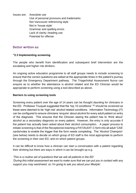Issues are: Anecdote use Use of personal pronouns and trademarks Not Vancouver referencing style Not in 'house style' Grammar and spelling errors Lack of clarity; heading use Potential for offense

#### **Better written as:**

#### **"2.3 Implementing screening**

The people who benefit from identification and subsequent brief intervention are the escalating and higher risk drinkers.

An ongoing active education programme to all staff groups needs to include screening to ensure that the correct questions are asked at the appropriate times in the patient's journey through the Emergency Department pathway. The Triage/Initial Assessment Nurse can enquire as to whether the attendance is alcohol related and the ED Clinician would be appropriate to perform screening using a tool described as above.

#### **Barriers to using screening tools**

Screening every patient over the age of 14 years can be thought daunting for clinicians in the ED. Professor Touquet suggested that the 'top 10 conditions'  $(9)$  should be screened as these were deemed to be 'high risk' alcohol related conditions. Information Technology (IT) can be configured to ensure clinicians 'enquire' about alcohol for every adult patient on entry of the diagnosis. This ensures that the Clinician seeing the patient has to 'think about' alcohol as a secondary diagnosis on every patient. However, the entry is only accurate if the patient has actually been asked about their alcohol consumption. A paper process to initiate screening is that of the Receptionist inserting a PAT/AUDIT-C form into all adult 'CAS' cards/notes to enable the trigger that the form needs completing. The 'Alcohol Champion' (see below) needs to decide on which group of ED staff is the most appropriate to perform the screening in their own ED, and on which patient groups.

It can be difficult to know how a clinician can start a conversation with a patient regarding their drinking but there are ways in which it can be brought up e.g.

#### *'This is a routine set of questions that we ask all patients in the ED'*

*'During this initial assessment we want to make sure that we can put you in contact with any support you may want/need, so I'm going to ask you about your lifestyle'.*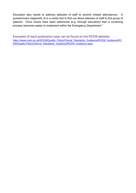Education also needs to address attitudes of staff to alcohol related attendances. A questionnaire (Appendix 3) is a useful tool to find out about attitudes of staff to this group of patients. Once issues have been addressed (e.g. through education) then a screening process becomes easier to implement within the Emergency Department."

Examples of each publication type can be found on the RCEM website: [https://www.rcem.ac.uk/RCEM/Quality\\_Policy/Clinical\\_Standards\\_Guidance/RCEM\\_Guidance/RC](https://www.rcem.ac.uk/RCEM/Quality_Policy/Clinical_Standards_Guidance/RCEM_Guidance/RCEM/Quality-Policy/Clinical_Standards_Guidance/RCEM_Guidance.aspx) [EM/Quality-Policy/Clinical\\_Standards\\_Guidance/RCEM\\_Guidance.aspx](https://www.rcem.ac.uk/RCEM/Quality_Policy/Clinical_Standards_Guidance/RCEM_Guidance/RCEM/Quality-Policy/Clinical_Standards_Guidance/RCEM_Guidance.aspx)